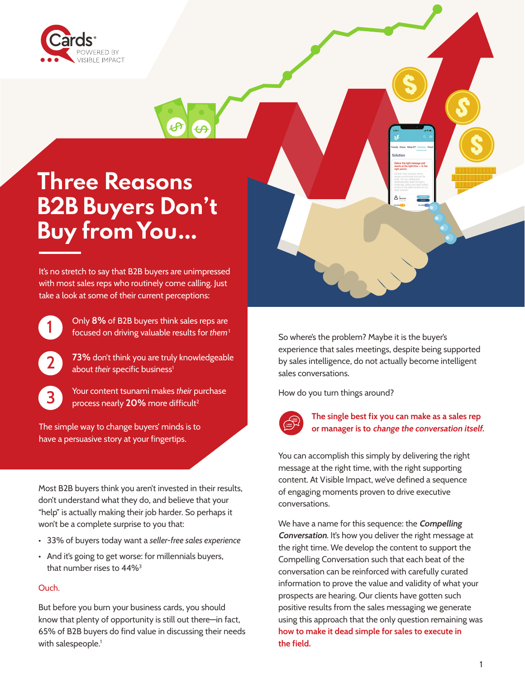

# **Three Reasons B2B Buyers Don't Buy from You…**

It's no stretch to say that B2B buyers are unimpressed with most sales reps who routinely come calling. Just take a look at some of their current perceptions:



Only 8% of B2B buyers think sales reps are focused on driving valuable results for *them*<sup>1</sup>



73% don't think you are truly knowledgeable about *their* specific business<sup>1</sup>



3 Your content tsunami makes *their* purchase process nearly 20% more difficult<sup>2</sup>

The simple way to change buyers' minds is to have a persuasive story at your fingertips.

Most B2B buyers think you aren't invested in their results, don't understand what they do, and believe that your "help" is actually making their job harder. So perhaps it won't be a complete surprise to you that:

- 33% of buyers today want a *seller-free sales experience*
- And it's going to get worse: for millennials buyers, that number rises to 44%3

#### Ouch.

But before you burn your business cards, you should know that plenty of opportunity is still out there—in fact, 65% of B2B buyers do find value in discussing their needs with salespeople.<sup>1</sup>

So where's the problem? Maybe it is the buyer's experience that sales meetings, despite being supported by sales intelligence, do not actually become intelligent sales conversations.

How do you turn things around?



#### The single best fix you can make as a sales rep or manager is to change the conversation itself.

You can accomplish this simply by delivering the right message at the right time, with the right supporting content. At Visible Impact, we've defined a sequence of engaging moments proven to drive executive conversations.

We have a name for this sequence: the **Compelling Conversation.** It's how you deliver the right message at the right time. We develop the content to support the Compelling Conversation such that each beat of the conversation can be reinforced with carefully curated information to prove the value and validity of what your prospects are hearing. Our clients have gotten such positive results from the sales messaging we generate using this approach that the only question remaining was how to make it dead simple for sales to execute in the field.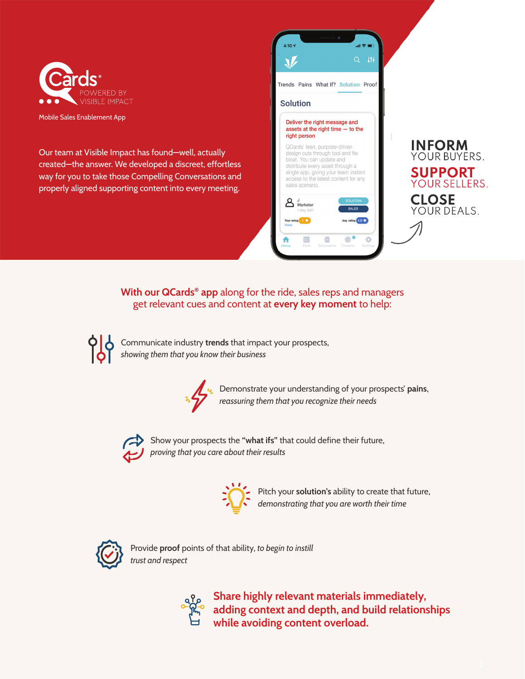

Mobile Sales Enablement App

Our team at Visible Impact has found—well, actually created—the answer. We developed a discreet, effortless way for you to take those Compelling Conversations and properly aligned supporting content into every meeting.



### With our QCards<sup>®</sup> app along for the ride, sales reps and managers get relevant cues and content at **every key moment** to help:



Communicate industry trends that impact your prospects, *showing them that you know their business*



Demonstrate your understanding of your prospects' pains, *reassuring them that you recognize their needs* 



Show your prospects the "what ifs" that could define their future, *proving that you care about their results*



Pitch your solution's ability to create that future, *demonstrating that you are worth their time*



Provide proof points of that ability, *to begin to instill trust and respect*



Share highly relevant materials immediately, adding context and depth, and build relationships while avoiding content overload.